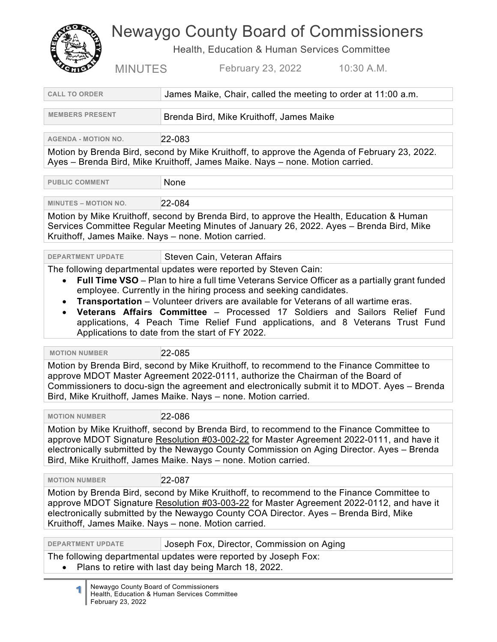## Newaygo County Board of Commissioners

Health, Education & Human Services Committee

MINUTES February 23, 2022 10:30 A.M.

| <b>CALL TO ORDER</b>                                                                                                                                                                                                                                                                                                                                                                                                                                                                                                                                         | James Maike, Chair, called the meeting to order at 11:00 a.m. |  |
|--------------------------------------------------------------------------------------------------------------------------------------------------------------------------------------------------------------------------------------------------------------------------------------------------------------------------------------------------------------------------------------------------------------------------------------------------------------------------------------------------------------------------------------------------------------|---------------------------------------------------------------|--|
| <b>MEMBERS PRESENT</b>                                                                                                                                                                                                                                                                                                                                                                                                                                                                                                                                       | Brenda Bird, Mike Kruithoff, James Maike                      |  |
| <b>AGENDA - MOTION NO.</b>                                                                                                                                                                                                                                                                                                                                                                                                                                                                                                                                   | 22-083                                                        |  |
| Motion by Brenda Bird, second by Mike Kruithoff, to approve the Agenda of February 23, 2022.<br>Ayes - Brenda Bird, Mike Kruithoff, James Maike. Nays - none. Motion carried.                                                                                                                                                                                                                                                                                                                                                                                |                                                               |  |
| <b>PUBLIC COMMENT</b>                                                                                                                                                                                                                                                                                                                                                                                                                                                                                                                                        | None                                                          |  |
| <b>MINUTES - MOTION NO.</b>                                                                                                                                                                                                                                                                                                                                                                                                                                                                                                                                  | 22-084                                                        |  |
| Motion by Mike Kruithoff, second by Brenda Bird, to approve the Health, Education & Human<br>Services Committee Regular Meeting Minutes of January 26, 2022. Ayes - Brenda Bird, Mike<br>Kruithoff, James Maike. Nays - none. Motion carried.                                                                                                                                                                                                                                                                                                                |                                                               |  |
| <b>DEPARTMENT UPDATE</b>                                                                                                                                                                                                                                                                                                                                                                                                                                                                                                                                     | Steven Cain, Veteran Affairs                                  |  |
| The following departmental updates were reported by Steven Cain:<br>Full Time VSO - Plan to hire a full time Veterans Service Officer as a partially grant funded<br>$\bullet$<br>employee. Currently in the hiring process and seeking candidates.<br>Transportation - Volunteer drivers are available for Veterans of all wartime eras.<br>Veterans Affairs Committee - Processed 17 Soldiers and Sailors Relief Fund<br>applications, 4 Peach Time Relief Fund applications, and 8 Veterans Trust Fund<br>Applications to date from the start of FY 2022. |                                                               |  |
| <b>MOTION NUMBER</b>                                                                                                                                                                                                                                                                                                                                                                                                                                                                                                                                         | 22-085                                                        |  |
| Motion by Brenda Bird, second by Mike Kruithoff, to recommend to the Finance Committee to<br>approve MDOT Master Agreement 2022-0111, authorize the Chairman of the Board of<br>Commissioners to docu-sign the agreement and electronically submit it to MDOT. Ayes - Brenda<br>Bird, Mike Kruithoff, James Maike. Nays - none. Motion carried.                                                                                                                                                                                                              |                                                               |  |
| <b>MOTION NUMBER</b>                                                                                                                                                                                                                                                                                                                                                                                                                                                                                                                                         | 22-086                                                        |  |
| Motion by Mike Kruithoff, second by Brenda Bird, to recommend to the Finance Committee to<br>approve MDOT Signature Resolution #03-002-22 for Master Agreement 2022-0111, and have it<br>electronically submitted by the Newaygo County Commission on Aging Director. Ayes – Brenda<br>Bird, Mike Kruithoff, James Maike. Nays - none. Motion carried.                                                                                                                                                                                                       |                                                               |  |
| <b>MOTION NUMBER</b>                                                                                                                                                                                                                                                                                                                                                                                                                                                                                                                                         | 22-087                                                        |  |
| Motion by Brenda Bird, second by Mike Kruithoff, to recommend to the Finance Committee to<br>approve MDOT Signature Resolution #03-003-22 for Master Agreement 2022-0112, and have it<br>electronically submitted by the Newaygo County COA Director. Ayes - Brenda Bird, Mike<br>Kruithoff, James Maike. Nays - none. Motion carried.                                                                                                                                                                                                                       |                                                               |  |
| <b>DEPARTMENT UPDATE</b>                                                                                                                                                                                                                                                                                                                                                                                                                                                                                                                                     | Joseph Fox, Director, Commission on Aging                     |  |
| The following departmental updates were reported by Joseph Fox:<br>Plans to retire with last day being March 18, 2022.                                                                                                                                                                                                                                                                                                                                                                                                                                       |                                                               |  |
|                                                                                                                                                                                                                                                                                                                                                                                                                                                                                                                                                              |                                                               |  |